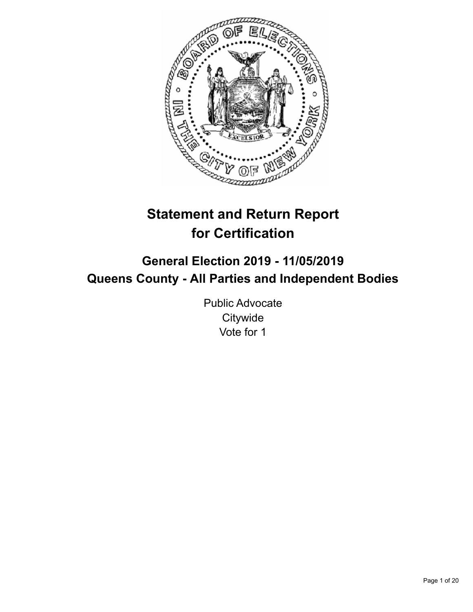

# **Statement and Return Report for Certification**

## **General Election 2019 - 11/05/2019 Queens County - All Parties and Independent Bodies**

Public Advocate **Citywide** Vote for 1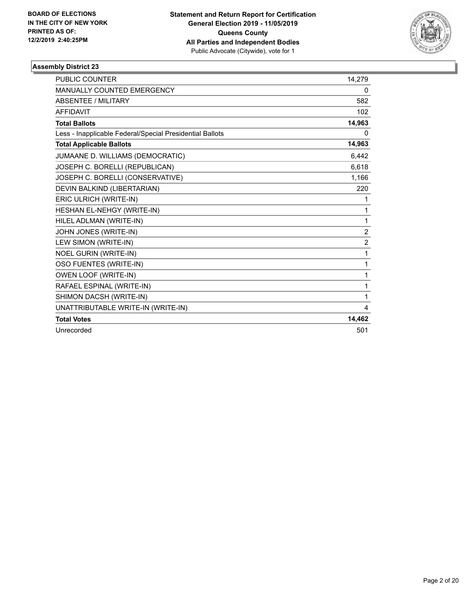

| <b>PUBLIC COUNTER</b>                                    | 14.279         |
|----------------------------------------------------------|----------------|
| <b>MANUALLY COUNTED EMERGENCY</b>                        | 0              |
| <b>ABSENTEE / MILITARY</b>                               | 582            |
| <b>AFFIDAVIT</b>                                         | 102            |
| <b>Total Ballots</b>                                     | 14,963         |
| Less - Inapplicable Federal/Special Presidential Ballots | 0              |
| <b>Total Applicable Ballots</b>                          | 14,963         |
| JUMAANE D. WILLIAMS (DEMOCRATIC)                         | 6,442          |
| JOSEPH C. BORELLI (REPUBLICAN)                           | 6,618          |
| JOSEPH C. BORELLI (CONSERVATIVE)                         | 1,166          |
| DEVIN BALKIND (LIBERTARIAN)                              | 220            |
| ERIC ULRICH (WRITE-IN)                                   | 1              |
| HESHAN EL-NEHGY (WRITE-IN)                               | 1              |
| HILEL ADLMAN (WRITE-IN)                                  | 1              |
| JOHN JONES (WRITE-IN)                                    | 2              |
| LEW SIMON (WRITE-IN)                                     | $\overline{2}$ |
| <b>NOEL GURIN (WRITE-IN)</b>                             | 1              |
| OSO FUENTES (WRITE-IN)                                   | 1              |
| OWEN LOOF (WRITE-IN)                                     | 1              |
| RAFAEL ESPINAL (WRITE-IN)                                | 1              |
| SHIMON DACSH (WRITE-IN)                                  | 1              |
| UNATTRIBUTABLE WRITE-IN (WRITE-IN)                       | 4              |
| <b>Total Votes</b>                                       | 14,462         |
| Unrecorded                                               | 501            |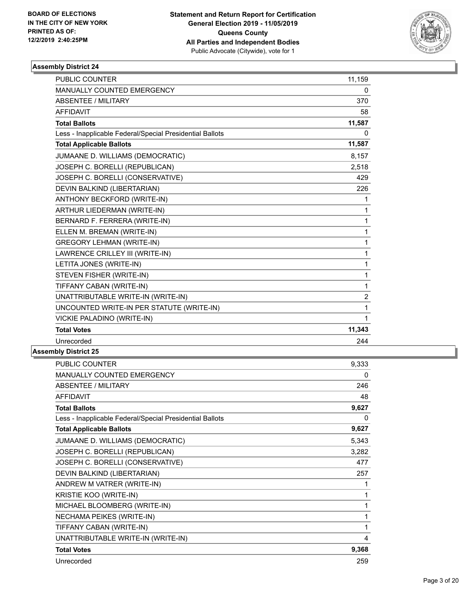

| <b>PUBLIC COUNTER</b>                                    | 11,159         |
|----------------------------------------------------------|----------------|
| MANUALLY COUNTED EMERGENCY                               | 0              |
| <b>ABSENTEE / MILITARY</b>                               | 370            |
| <b>AFFIDAVIT</b>                                         | 58             |
| <b>Total Ballots</b>                                     | 11,587         |
| Less - Inapplicable Federal/Special Presidential Ballots | 0              |
| <b>Total Applicable Ballots</b>                          | 11,587         |
| JUMAANE D. WILLIAMS (DEMOCRATIC)                         | 8,157          |
| JOSEPH C. BORELLI (REPUBLICAN)                           | 2,518          |
| JOSEPH C. BORELLI (CONSERVATIVE)                         | 429            |
| DEVIN BALKIND (LIBERTARIAN)                              | 226            |
| ANTHONY BECKFORD (WRITE-IN)                              | 1              |
| <b>ARTHUR LIEDERMAN (WRITE-IN)</b>                       | $\mathbf{1}$   |
| BERNARD F. FERRERA (WRITE-IN)                            | $\mathbf{1}$   |
| ELLEN M. BREMAN (WRITE-IN)                               | $\mathbf{1}$   |
| <b>GREGORY LEHMAN (WRITE-IN)</b>                         | 1              |
| LAWRENCE CRILLEY III (WRITE-IN)                          | $\mathbf{1}$   |
| LETITA JONES (WRITE-IN)                                  | 1              |
| STEVEN FISHER (WRITE-IN)                                 | 1              |
| TIFFANY CABAN (WRITE-IN)                                 | 1              |
| UNATTRIBUTABLE WRITE-IN (WRITE-IN)                       | $\overline{c}$ |
| UNCOUNTED WRITE-IN PER STATUTE (WRITE-IN)                | 1              |
| VICKIE PALADINO (WRITE-IN)                               | 1              |
| <b>Total Votes</b>                                       | 11,343         |
| Unrecorded                                               | 244            |

| PUBLIC COUNTER                                           | 9,333        |
|----------------------------------------------------------|--------------|
| MANUALLY COUNTED EMERGENCY                               | 0            |
| ABSENTEE / MILITARY                                      | 246          |
| <b>AFFIDAVIT</b>                                         | 48           |
| <b>Total Ballots</b>                                     | 9,627        |
| Less - Inapplicable Federal/Special Presidential Ballots | $\mathbf{0}$ |
| <b>Total Applicable Ballots</b>                          | 9,627        |
| JUMAANE D. WILLIAMS (DEMOCRATIC)                         | 5,343        |
| JOSEPH C. BORELLI (REPUBLICAN)                           | 3,282        |
| JOSEPH C. BORELLI (CONSERVATIVE)                         | 477          |
| DEVIN BALKIND (LIBERTARIAN)                              | 257          |
| ANDREW M VATRER (WRITE-IN)                               | 1            |
| KRISTIE KOO (WRITE-IN)                                   | 1            |
| MICHAEL BLOOMBERG (WRITE-IN)                             | 1            |
| NECHAMA PEIKES (WRITE-IN)                                | 1            |
| TIFFANY CABAN (WRITE-IN)                                 | 1            |
| UNATTRIBUTABLE WRITE-IN (WRITE-IN)                       | 4            |
| <b>Total Votes</b>                                       | 9,368        |
| Unrecorded                                               | 259          |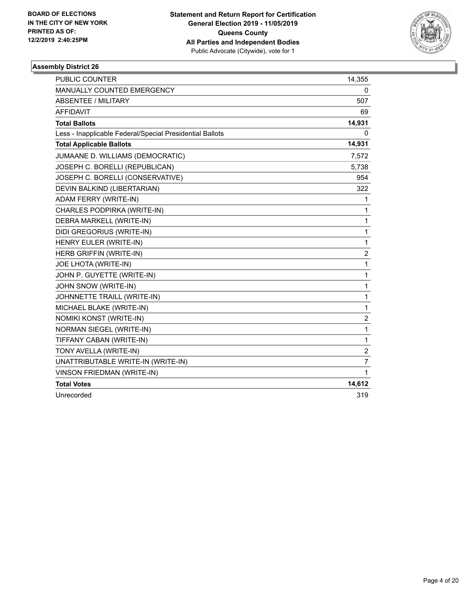

| <b>PUBLIC COUNTER</b>                                    | 14,355           |
|----------------------------------------------------------|------------------|
| <b>MANUALLY COUNTED EMERGENCY</b>                        | 0                |
| <b>ABSENTEE / MILITARY</b>                               | 507              |
| <b>AFFIDAVIT</b>                                         | 69               |
| <b>Total Ballots</b>                                     | 14,931           |
| Less - Inapplicable Federal/Special Presidential Ballots | 0                |
| <b>Total Applicable Ballots</b>                          | 14,931           |
| JUMAANE D. WILLIAMS (DEMOCRATIC)                         | 7,572            |
| JOSEPH C. BORELLI (REPUBLICAN)                           | 5,738            |
| JOSEPH C. BORELLI (CONSERVATIVE)                         | 954              |
| DEVIN BALKIND (LIBERTARIAN)                              | 322              |
| ADAM FERRY (WRITE-IN)                                    | 1                |
| CHARLES PODPIRKA (WRITE-IN)                              | 1                |
| DEBRA MARKELL (WRITE-IN)                                 | 1                |
| DIDI GREGORIUS (WRITE-IN)                                | 1                |
| HENRY EULER (WRITE-IN)                                   | 1                |
| HERB GRIFFIN (WRITE-IN)                                  | $\overline{2}$   |
| JOE LHOTA (WRITE-IN)                                     | 1                |
| JOHN P. GUYETTE (WRITE-IN)                               | 1                |
| JOHN SNOW (WRITE-IN)                                     | 1                |
| JOHNNETTE TRAILL (WRITE-IN)                              | 1                |
| MICHAEL BLAKE (WRITE-IN)                                 | 1                |
| NOMIKI KONST (WRITE-IN)                                  | $\boldsymbol{2}$ |
| <b>NORMAN SIEGEL (WRITE-IN)</b>                          | 1                |
| TIFFANY CABAN (WRITE-IN)                                 | 1                |
| TONY AVELLA (WRITE-IN)                                   | $\overline{c}$   |
| UNATTRIBUTABLE WRITE-IN (WRITE-IN)                       | $\overline{7}$   |
| VINSON FRIEDMAN (WRITE-IN)                               | 1                |
| <b>Total Votes</b>                                       | 14,612           |
| Unrecorded                                               | 319              |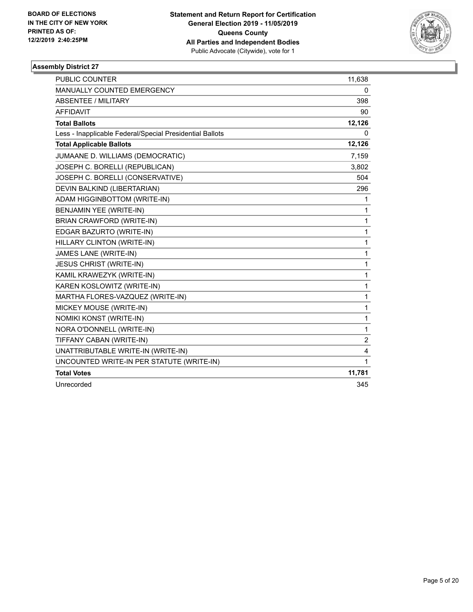

| <b>PUBLIC COUNTER</b>                                    | 11,638         |
|----------------------------------------------------------|----------------|
| <b>MANUALLY COUNTED EMERGENCY</b>                        | 0              |
| <b>ABSENTEE / MILITARY</b>                               | 398            |
| <b>AFFIDAVIT</b>                                         | 90             |
| <b>Total Ballots</b>                                     | 12,126         |
| Less - Inapplicable Federal/Special Presidential Ballots | 0              |
| <b>Total Applicable Ballots</b>                          | 12,126         |
| JUMAANE D. WILLIAMS (DEMOCRATIC)                         | 7,159          |
| JOSEPH C. BORELLI (REPUBLICAN)                           | 3,802          |
| JOSEPH C. BORELLI (CONSERVATIVE)                         | 504            |
| DEVIN BALKIND (LIBERTARIAN)                              | 296            |
| ADAM HIGGINBOTTOM (WRITE-IN)                             | 1              |
| BENJAMIN YEE (WRITE-IN)                                  | 1              |
| <b>BRIAN CRAWFORD (WRITE-IN)</b>                         | 1              |
| EDGAR BAZURTO (WRITE-IN)                                 | 1              |
| HILLARY CLINTON (WRITE-IN)                               | 1              |
| JAMES LANE (WRITE-IN)                                    | 1              |
| <b>JESUS CHRIST (WRITE-IN)</b>                           | 1              |
| KAMIL KRAWEZYK (WRITE-IN)                                | 1              |
| KAREN KOSLOWITZ (WRITE-IN)                               | 1              |
| MARTHA FLORES-VAZQUEZ (WRITE-IN)                         | 1              |
| MICKEY MOUSE (WRITE-IN)                                  | 1              |
| NOMIKI KONST (WRITE-IN)                                  | 1              |
| NORA O'DONNELL (WRITE-IN)                                | 1              |
| TIFFANY CABAN (WRITE-IN)                                 | $\overline{2}$ |
| UNATTRIBUTABLE WRITE-IN (WRITE-IN)                       | 4              |
| UNCOUNTED WRITE-IN PER STATUTE (WRITE-IN)                | 1              |
| <b>Total Votes</b>                                       | 11,781         |
| Unrecorded                                               | 345            |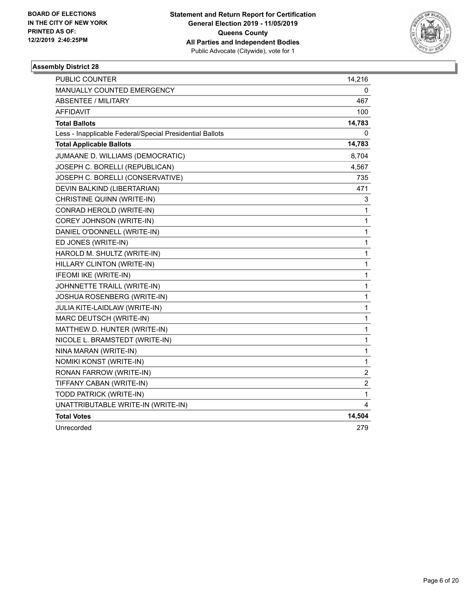

| PUBLIC COUNTER                                           | 14,216                  |
|----------------------------------------------------------|-------------------------|
| MANUALLY COUNTED EMERGENCY                               | 0                       |
| <b>ABSENTEE / MILITARY</b>                               | 467                     |
| <b>AFFIDAVIT</b>                                         | 100                     |
| <b>Total Ballots</b>                                     | 14,783                  |
| Less - Inapplicable Federal/Special Presidential Ballots | 0                       |
| <b>Total Applicable Ballots</b>                          | 14,783                  |
| JUMAANE D. WILLIAMS (DEMOCRATIC)                         | 8,704                   |
| JOSEPH C. BORELLI (REPUBLICAN)                           | 4,567                   |
| JOSEPH C. BORELLI (CONSERVATIVE)                         | 735                     |
| DEVIN BALKIND (LIBERTARIAN)                              | 471                     |
| CHRISTINE QUINN (WRITE-IN)                               | 3                       |
| CONRAD HEROLD (WRITE-IN)                                 | $\mathbf{1}$            |
| COREY JOHNSON (WRITE-IN)                                 | $\mathbf{1}$            |
| DANIEL O'DONNELL (WRITE-IN)                              | $\mathbf{1}$            |
| ED JONES (WRITE-IN)                                      | 1                       |
| HAROLD M. SHULTZ (WRITE-IN)                              | 1                       |
| HILLARY CLINTON (WRITE-IN)                               | $\mathbf{1}$            |
| IFEOMI IKE (WRITE-IN)                                    | 1                       |
| JOHNNETTE TRAILL (WRITE-IN)                              | $\mathbf{1}$            |
| JOSHUA ROSENBERG (WRITE-IN)                              | 1                       |
| JULIA KITE-LAIDLAW (WRITE-IN)                            | 1                       |
| MARC DEUTSCH (WRITE-IN)                                  | 1                       |
| MATTHEW D. HUNTER (WRITE-IN)                             | 1                       |
| NICOLE L. BRAMSTEDT (WRITE-IN)                           | 1                       |
| NINA MARAN (WRITE-IN)                                    | 1                       |
| NOMIKI KONST (WRITE-IN)                                  | $\mathbf{1}$            |
| RONAN FARROW (WRITE-IN)                                  | $\overline{\mathbf{c}}$ |
| TIFFANY CABAN (WRITE-IN)                                 | $\boldsymbol{2}$        |
| TODD PATRICK (WRITE-IN)                                  | 1                       |
| UNATTRIBUTABLE WRITE-IN (WRITE-IN)                       | 4                       |
| <b>Total Votes</b>                                       | 14,504                  |
| Unrecorded                                               | 279                     |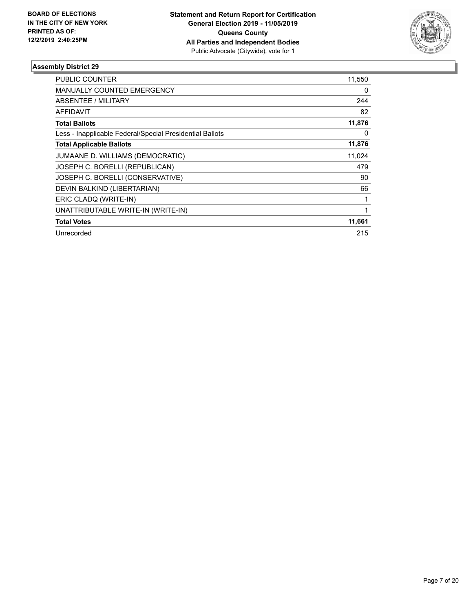

| PUBLIC COUNTER                                           | 11,550 |
|----------------------------------------------------------|--------|
| <b>MANUALLY COUNTED EMERGENCY</b>                        | 0      |
| <b>ABSENTEE / MILITARY</b>                               | 244    |
| <b>AFFIDAVIT</b>                                         | 82     |
| <b>Total Ballots</b>                                     | 11,876 |
| Less - Inapplicable Federal/Special Presidential Ballots | 0      |
| <b>Total Applicable Ballots</b>                          | 11,876 |
| JUMAANE D. WILLIAMS (DEMOCRATIC)                         | 11,024 |
| JOSEPH C. BORELLI (REPUBLICAN)                           | 479    |
| JOSEPH C. BORELLI (CONSERVATIVE)                         | 90     |
| DEVIN BALKIND (LIBERTARIAN)                              | 66     |
| ERIC CLADQ (WRITE-IN)                                    |        |
| UNATTRIBUTABLE WRITE-IN (WRITE-IN)                       |        |
| <b>Total Votes</b>                                       | 11,661 |
| Unrecorded                                               | 215    |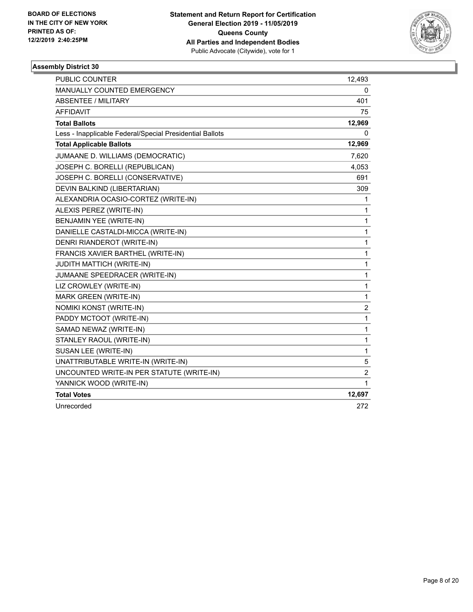

| <b>PUBLIC COUNTER</b>                                    | 12,493                  |
|----------------------------------------------------------|-------------------------|
| MANUALLY COUNTED EMERGENCY                               | 0                       |
| <b>ABSENTEE / MILITARY</b>                               | 401                     |
| <b>AFFIDAVIT</b>                                         | 75                      |
| <b>Total Ballots</b>                                     | 12,969                  |
| Less - Inapplicable Federal/Special Presidential Ballots | 0                       |
| <b>Total Applicable Ballots</b>                          | 12,969                  |
| JUMAANE D. WILLIAMS (DEMOCRATIC)                         | 7,620                   |
| JOSEPH C. BORELLI (REPUBLICAN)                           | 4,053                   |
| JOSEPH C. BORELLI (CONSERVATIVE)                         | 691                     |
| DEVIN BALKIND (LIBERTARIAN)                              | 309                     |
| ALEXANDRIA OCASIO-CORTEZ (WRITE-IN)                      | 1                       |
| ALEXIS PEREZ (WRITE-IN)                                  | 1                       |
| BENJAMIN YEE (WRITE-IN)                                  | 1                       |
| DANIELLE CASTALDI-MICCA (WRITE-IN)                       | 1                       |
| DENRI RIANDEROT (WRITE-IN)                               | 1                       |
| FRANCIS XAVIER BARTHEL (WRITE-IN)                        | 1                       |
| <b>JUDITH MATTICH (WRITE-IN)</b>                         | 1                       |
| JUMAANE SPEEDRACER (WRITE-IN)                            | 1                       |
| LIZ CROWLEY (WRITE-IN)                                   | 1                       |
| MARK GREEN (WRITE-IN)                                    | 1                       |
| NOMIKI KONST (WRITE-IN)                                  | $\overline{\mathbf{c}}$ |
| PADDY MCTOOT (WRITE-IN)                                  | $\mathbf{1}$            |
| SAMAD NEWAZ (WRITE-IN)                                   | 1                       |
| STANLEY RAOUL (WRITE-IN)                                 | 1                       |
| SUSAN LEE (WRITE-IN)                                     | 1                       |
| UNATTRIBUTABLE WRITE-IN (WRITE-IN)                       | 5                       |
| UNCOUNTED WRITE-IN PER STATUTE (WRITE-IN)                | $\boldsymbol{2}$        |
| YANNICK WOOD (WRITE-IN)                                  | 1                       |
| <b>Total Votes</b>                                       | 12,697                  |
| Unrecorded                                               | 272                     |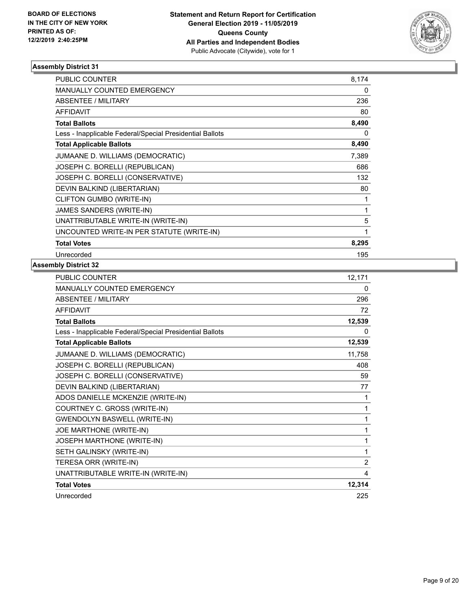

| PUBLIC COUNTER                                           | 8,174 |
|----------------------------------------------------------|-------|
| <b>MANUALLY COUNTED EMERGENCY</b>                        | 0     |
| <b>ABSENTEE / MILITARY</b>                               | 236   |
| <b>AFFIDAVIT</b>                                         | 80    |
| <b>Total Ballots</b>                                     | 8,490 |
| Less - Inapplicable Federal/Special Presidential Ballots | 0     |
| <b>Total Applicable Ballots</b>                          | 8,490 |
| JUMAANE D. WILLIAMS (DEMOCRATIC)                         | 7,389 |
| JOSEPH C. BORELLI (REPUBLICAN)                           | 686   |
| JOSEPH C. BORELLI (CONSERVATIVE)                         | 132   |
| DEVIN BALKIND (LIBERTARIAN)                              | 80    |
| CLIFTON GUMBO (WRITE-IN)                                 | 1     |
| JAMES SANDERS (WRITE-IN)                                 | 1     |
| UNATTRIBUTABLE WRITE-IN (WRITE-IN)                       | 5     |
| UNCOUNTED WRITE-IN PER STATUTE (WRITE-IN)                | 1     |
| <b>Total Votes</b>                                       | 8,295 |
| Unrecorded                                               | 195   |

| <b>PUBLIC COUNTER</b>                                    | 12,171         |
|----------------------------------------------------------|----------------|
| <b>MANUALLY COUNTED EMERGENCY</b>                        | 0              |
| <b>ABSENTEE / MILITARY</b>                               | 296            |
| <b>AFFIDAVIT</b>                                         | 72             |
| <b>Total Ballots</b>                                     | 12,539         |
| Less - Inapplicable Federal/Special Presidential Ballots | 0              |
| <b>Total Applicable Ballots</b>                          | 12,539         |
| JUMAANE D. WILLIAMS (DEMOCRATIC)                         | 11,758         |
| JOSEPH C. BORELLI (REPUBLICAN)                           | 408            |
| JOSEPH C. BORELLI (CONSERVATIVE)                         | 59             |
| DEVIN BALKIND (LIBERTARIAN)                              | 77             |
| ADOS DANIELLE MCKENZIE (WRITE-IN)                        | 1              |
| COURTNEY C. GROSS (WRITE-IN)                             | 1              |
| <b>GWENDOLYN BASWELL (WRITE-IN)</b>                      | 1              |
| JOE MARTHONE (WRITE-IN)                                  | 1              |
| JOSEPH MARTHONE (WRITE-IN)                               | 1              |
| SETH GALINSKY (WRITE-IN)                                 | 1              |
| TERESA ORR (WRITE-IN)                                    | $\overline{2}$ |
| UNATTRIBUTABLE WRITE-IN (WRITE-IN)                       | 4              |
| <b>Total Votes</b>                                       | 12,314         |
| Unrecorded                                               | 225            |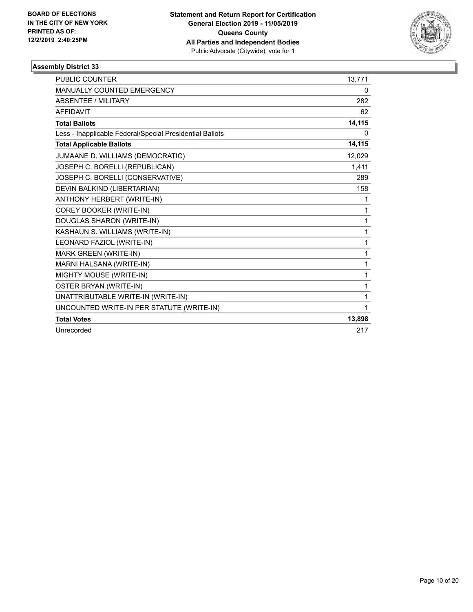

| <b>PUBLIC COUNTER</b>                                    | 13,771 |
|----------------------------------------------------------|--------|
| <b>MANUALLY COUNTED EMERGENCY</b>                        | 0      |
| <b>ABSENTEE / MILITARY</b>                               | 282    |
| <b>AFFIDAVIT</b>                                         | 62     |
| <b>Total Ballots</b>                                     | 14,115 |
| Less - Inapplicable Federal/Special Presidential Ballots | 0      |
| <b>Total Applicable Ballots</b>                          | 14,115 |
| JUMAANE D. WILLIAMS (DEMOCRATIC)                         | 12,029 |
| JOSEPH C. BORELLI (REPUBLICAN)                           | 1,411  |
| JOSEPH C. BORELLI (CONSERVATIVE)                         | 289    |
| DEVIN BALKIND (LIBERTARIAN)                              | 158    |
| ANTHONY HERBERT (WRITE-IN)                               | 1      |
| COREY BOOKER (WRITE-IN)                                  | 1      |
| DOUGLAS SHARON (WRITE-IN)                                | 1      |
| KASHAUN S. WILLIAMS (WRITE-IN)                           | 1      |
| LEONARD FAZIOL (WRITE-IN)                                | 1      |
| <b>MARK GREEN (WRITE-IN)</b>                             | 1      |
| MARNI HALSANA (WRITE-IN)                                 | 1      |
| MIGHTY MOUSE (WRITE-IN)                                  | 1      |
| OSTER BRYAN (WRITE-IN)                                   | 1      |
| UNATTRIBUTABLE WRITE-IN (WRITE-IN)                       | 1      |
| UNCOUNTED WRITE-IN PER STATUTE (WRITE-IN)                | 1      |
| <b>Total Votes</b>                                       | 13,898 |
| Unrecorded                                               | 217    |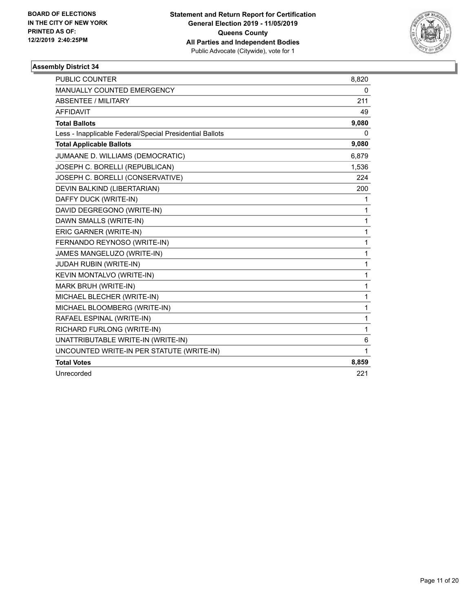

| <b>PUBLIC COUNTER</b>                                    | 8,820 |
|----------------------------------------------------------|-------|
| <b>MANUALLY COUNTED EMERGENCY</b>                        | 0     |
| <b>ABSENTEE / MILITARY</b>                               | 211   |
| <b>AFFIDAVIT</b>                                         | 49    |
| <b>Total Ballots</b>                                     | 9,080 |
| Less - Inapplicable Federal/Special Presidential Ballots | 0     |
| <b>Total Applicable Ballots</b>                          | 9,080 |
| JUMAANE D. WILLIAMS (DEMOCRATIC)                         | 6,879 |
| JOSEPH C. BORELLI (REPUBLICAN)                           | 1,536 |
| JOSEPH C. BORELLI (CONSERVATIVE)                         | 224   |
| DEVIN BALKIND (LIBERTARIAN)                              | 200   |
| DAFFY DUCK (WRITE-IN)                                    | 1     |
| DAVID DEGREGONO (WRITE-IN)                               | 1     |
| DAWN SMALLS (WRITE-IN)                                   | 1     |
| ERIC GARNER (WRITE-IN)                                   | 1     |
| FERNANDO REYNOSO (WRITE-IN)                              | 1     |
| JAMES MANGELUZO (WRITE-IN)                               | 1     |
| JUDAH RUBIN (WRITE-IN)                                   | 1     |
| <b>KEVIN MONTALVO (WRITE-IN)</b>                         | 1     |
| MARK BRUH (WRITE-IN)                                     | 1     |
| MICHAEL BLECHER (WRITE-IN)                               | 1     |
| MICHAEL BLOOMBERG (WRITE-IN)                             | 1     |
| RAFAEL ESPINAL (WRITE-IN)                                | 1     |
| RICHARD FURLONG (WRITE-IN)                               | 1     |
| UNATTRIBUTABLE WRITE-IN (WRITE-IN)                       | 6     |
| UNCOUNTED WRITE-IN PER STATUTE (WRITE-IN)                | 1     |
| <b>Total Votes</b>                                       | 8,859 |
| Unrecorded                                               | 221   |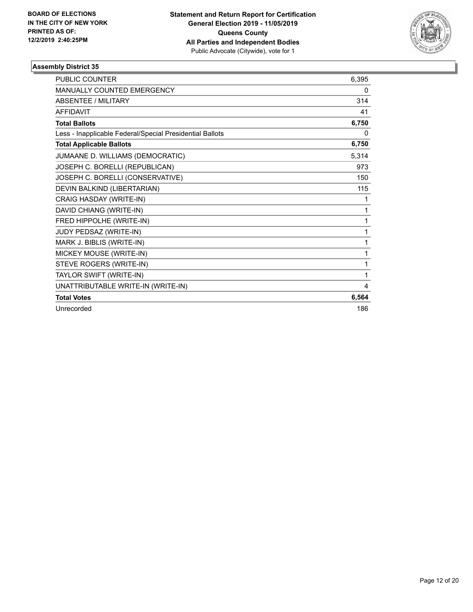

| <b>PUBLIC COUNTER</b>                                    | 6,395 |
|----------------------------------------------------------|-------|
| MANUALLY COUNTED EMERGENCY                               | 0     |
| <b>ABSENTEE / MILITARY</b>                               | 314   |
| <b>AFFIDAVIT</b>                                         | 41    |
| <b>Total Ballots</b>                                     | 6,750 |
| Less - Inapplicable Federal/Special Presidential Ballots | 0     |
| <b>Total Applicable Ballots</b>                          | 6,750 |
| JUMAANE D. WILLIAMS (DEMOCRATIC)                         | 5,314 |
| JOSEPH C. BORELLI (REPUBLICAN)                           | 973   |
| JOSEPH C. BORELLI (CONSERVATIVE)                         | 150   |
| DEVIN BALKIND (LIBERTARIAN)                              | 115   |
| CRAIG HASDAY (WRITE-IN)                                  | 1     |
| DAVID CHIANG (WRITE-IN)                                  | 1     |
| FRED HIPPOLHE (WRITE-IN)                                 | 1     |
| JUDY PEDSAZ (WRITE-IN)                                   | 1     |
| MARK J. BIBLIS (WRITE-IN)                                | 1     |
| MICKEY MOUSE (WRITE-IN)                                  | 1     |
| STEVE ROGERS (WRITE-IN)                                  | 1     |
| TAYLOR SWIFT (WRITE-IN)                                  | 1     |
| UNATTRIBUTABLE WRITE-IN (WRITE-IN)                       | 4     |
| <b>Total Votes</b>                                       | 6,564 |
| Unrecorded                                               | 186   |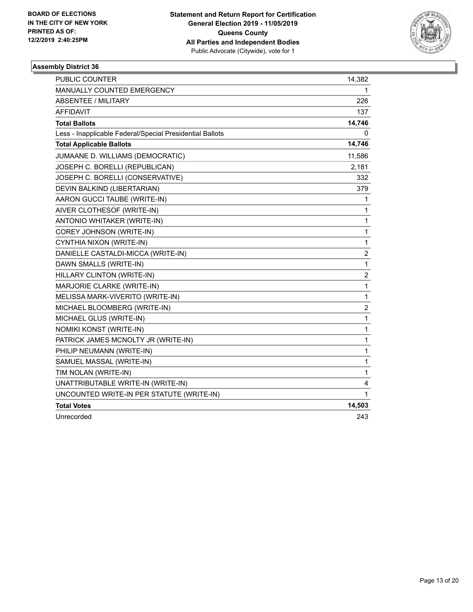

| PUBLIC COUNTER                                           | 14,382                  |
|----------------------------------------------------------|-------------------------|
| MANUALLY COUNTED EMERGENCY                               | 1                       |
| <b>ABSENTEE / MILITARY</b>                               | 226                     |
| <b>AFFIDAVIT</b>                                         | 137                     |
| <b>Total Ballots</b>                                     | 14,746                  |
| Less - Inapplicable Federal/Special Presidential Ballots | 0                       |
| <b>Total Applicable Ballots</b>                          | 14,746                  |
| JUMAANE D. WILLIAMS (DEMOCRATIC)                         | 11,586                  |
| JOSEPH C. BORELLI (REPUBLICAN)                           | 2,181                   |
| JOSEPH C. BORELLI (CONSERVATIVE)                         | 332                     |
| DEVIN BALKIND (LIBERTARIAN)                              | 379                     |
| AARON GUCCI TAUBE (WRITE-IN)                             | 1                       |
| AIVER CLOTHESOF (WRITE-IN)                               | 1                       |
| ANTONIO WHITAKER (WRITE-IN)                              | $\mathbf{1}$            |
| COREY JOHNSON (WRITE-IN)                                 | 1                       |
| CYNTHIA NIXON (WRITE-IN)                                 | $\mathbf{1}$            |
| DANIELLE CASTALDI-MICCA (WRITE-IN)                       | $\overline{c}$          |
| DAWN SMALLS (WRITE-IN)                                   | 1                       |
| HILLARY CLINTON (WRITE-IN)                               | $\overline{\mathbf{c}}$ |
| MARJORIE CLARKE (WRITE-IN)                               | 1                       |
| MELISSA MARK-VIVERITO (WRITE-IN)                         | 1                       |
| MICHAEL BLOOMBERG (WRITE-IN)                             | $\overline{\mathbf{c}}$ |
| MICHAEL GLUS (WRITE-IN)                                  | $\mathbf{1}$            |
| NOMIKI KONST (WRITE-IN)                                  | 1                       |
| PATRICK JAMES MCNOLTY JR (WRITE-IN)                      | 1                       |
| PHILIP NEUMANN (WRITE-IN)                                | 1                       |
| SAMUEL MASSAL (WRITE-IN)                                 | 1                       |
| TIM NOLAN (WRITE-IN)                                     | 1                       |
| UNATTRIBUTABLE WRITE-IN (WRITE-IN)                       | $\overline{4}$          |
| UNCOUNTED WRITE-IN PER STATUTE (WRITE-IN)                | 1                       |
| <b>Total Votes</b>                                       | 14,503                  |
| Unrecorded                                               | 243                     |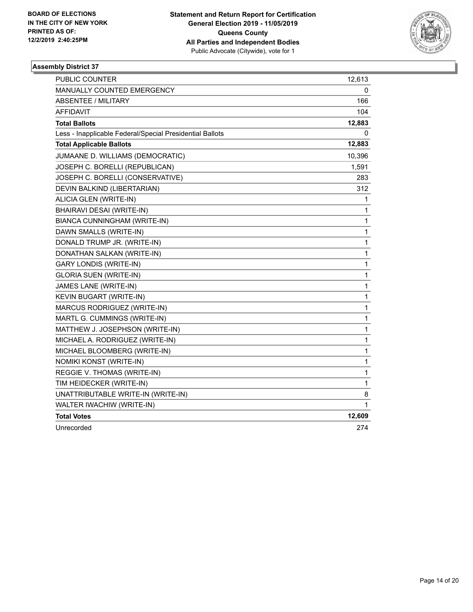

| PUBLIC COUNTER                                           | 12,613       |
|----------------------------------------------------------|--------------|
| MANUALLY COUNTED EMERGENCY                               | 0            |
| <b>ABSENTEE / MILITARY</b>                               | 166          |
| AFFIDAVIT                                                | 104          |
| <b>Total Ballots</b>                                     | 12,883       |
| Less - Inapplicable Federal/Special Presidential Ballots | 0            |
| <b>Total Applicable Ballots</b>                          | 12,883       |
| JUMAANE D. WILLIAMS (DEMOCRATIC)                         | 10,396       |
| JOSEPH C. BORELLI (REPUBLICAN)                           | 1,591        |
| JOSEPH C. BORELLI (CONSERVATIVE)                         | 283          |
| DEVIN BALKIND (LIBERTARIAN)                              | 312          |
| ALICIA GLEN (WRITE-IN)                                   | 1            |
| BHAIRAVI DESAI (WRITE-IN)                                | 1            |
| BIANCA CUNNINGHAM (WRITE-IN)                             | 1            |
| DAWN SMALLS (WRITE-IN)                                   | 1            |
| DONALD TRUMP JR. (WRITE-IN)                              | 1            |
| DONATHAN SALKAN (WRITE-IN)                               | 1            |
| <b>GARY LONDIS (WRITE-IN)</b>                            | 1            |
| <b>GLORIA SUEN (WRITE-IN)</b>                            | 1            |
| JAMES LANE (WRITE-IN)                                    | 1            |
| KEVIN BUGART (WRITE-IN)                                  | 1            |
| MARCUS RODRIGUEZ (WRITE-IN)                              | 1            |
| MARTL G. CUMMINGS (WRITE-IN)                             | 1            |
| MATTHEW J. JOSEPHSON (WRITE-IN)                          | $\mathbf{1}$ |
| MICHAEL A. RODRIGUEZ (WRITE-IN)                          | 1            |
| MICHAEL BLOOMBERG (WRITE-IN)                             | 1            |
| NOMIKI KONST (WRITE-IN)                                  | 1            |
| REGGIE V. THOMAS (WRITE-IN)                              | 1            |
| TIM HEIDECKER (WRITE-IN)                                 | 1            |
| UNATTRIBUTABLE WRITE-IN (WRITE-IN)                       | 8            |
| WALTER IWACHIW (WRITE-IN)                                | 1            |
| <b>Total Votes</b>                                       | 12,609       |
| Unrecorded                                               | 274          |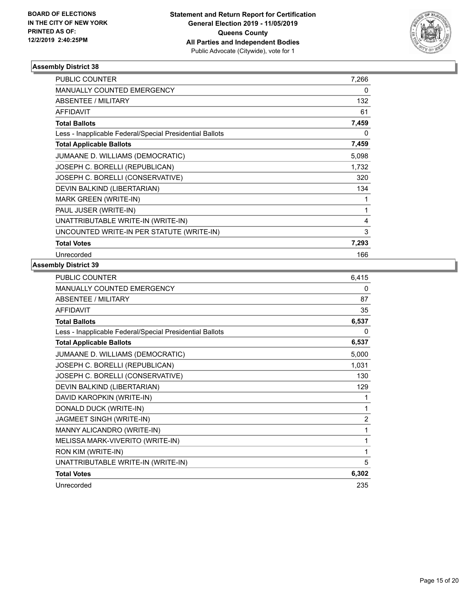

| <b>PUBLIC COUNTER</b>                                    | 7,266 |
|----------------------------------------------------------|-------|
| <b>MANUALLY COUNTED EMERGENCY</b>                        | 0     |
| <b>ABSENTEE / MILITARY</b>                               | 132   |
| <b>AFFIDAVIT</b>                                         | 61    |
| <b>Total Ballots</b>                                     | 7,459 |
| Less - Inapplicable Federal/Special Presidential Ballots | 0     |
| <b>Total Applicable Ballots</b>                          | 7,459 |
| JUMAANE D. WILLIAMS (DEMOCRATIC)                         | 5,098 |
| JOSEPH C. BORELLI (REPUBLICAN)                           | 1,732 |
| JOSEPH C. BORELLI (CONSERVATIVE)                         | 320   |
| DEVIN BALKIND (LIBERTARIAN)                              | 134   |
| MARK GREEN (WRITE-IN)                                    | 1     |
| PAUL JUSER (WRITE-IN)                                    | 1     |
| UNATTRIBUTABLE WRITE-IN (WRITE-IN)                       | 4     |
| UNCOUNTED WRITE-IN PER STATUTE (WRITE-IN)                | 3     |
| <b>Total Votes</b>                                       | 7,293 |
| Unrecorded                                               | 166   |

| <b>PUBLIC COUNTER</b>                                    | 6,415          |
|----------------------------------------------------------|----------------|
| <b>MANUALLY COUNTED EMERGENCY</b>                        | 0              |
| ABSENTEE / MILITARY                                      | 87             |
| <b>AFFIDAVIT</b>                                         | 35             |
| <b>Total Ballots</b>                                     | 6,537          |
| Less - Inapplicable Federal/Special Presidential Ballots | 0              |
| <b>Total Applicable Ballots</b>                          | 6,537          |
| JUMAANE D. WILLIAMS (DEMOCRATIC)                         | 5,000          |
| JOSEPH C. BORELLI (REPUBLICAN)                           | 1,031          |
| JOSEPH C. BORELLI (CONSERVATIVE)                         | 130            |
| DEVIN BALKIND (LIBERTARIAN)                              | 129            |
| DAVID KAROPKIN (WRITE-IN)                                | 1              |
| DONALD DUCK (WRITE-IN)                                   | 1              |
| JAGMEET SINGH (WRITE-IN)                                 | $\overline{2}$ |
| MANNY ALICANDRO (WRITE-IN)                               | 1              |
| MELISSA MARK-VIVERITO (WRITE-IN)                         | 1              |
| RON KIM (WRITE-IN)                                       | 1              |
| UNATTRIBUTABLE WRITE-IN (WRITE-IN)                       | 5              |
| <b>Total Votes</b>                                       | 6,302          |
| Unrecorded                                               | 235            |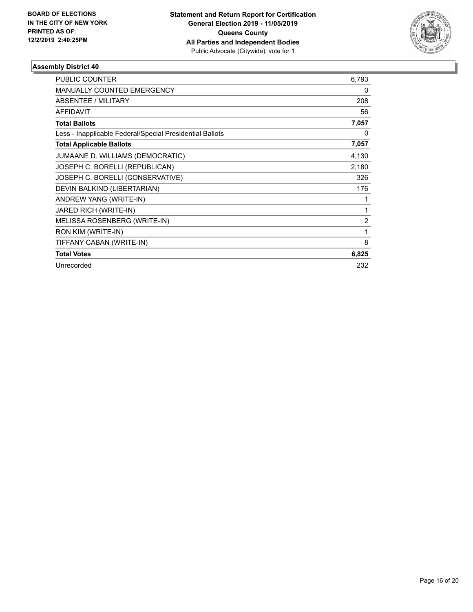

| <b>PUBLIC COUNTER</b>                                    | 6,793 |
|----------------------------------------------------------|-------|
| <b>MANUALLY COUNTED EMERGENCY</b>                        | 0     |
| <b>ABSENTEE / MILITARY</b>                               | 208   |
| <b>AFFIDAVIT</b>                                         | 56    |
| <b>Total Ballots</b>                                     | 7,057 |
| Less - Inapplicable Federal/Special Presidential Ballots | 0     |
| <b>Total Applicable Ballots</b>                          | 7,057 |
| JUMAANE D. WILLIAMS (DEMOCRATIC)                         | 4,130 |
| JOSEPH C. BORELLI (REPUBLICAN)                           | 2,180 |
| JOSEPH C. BORELLI (CONSERVATIVE)                         | 326   |
| DEVIN BALKIND (LIBERTARIAN)                              | 176   |
| ANDREW YANG (WRITE-IN)                                   | 1     |
| JARED RICH (WRITE-IN)                                    | 1     |
| MELISSA ROSENBERG (WRITE-IN)                             | 2     |
| RON KIM (WRITE-IN)                                       | 1     |
| TIFFANY CABAN (WRITE-IN)                                 | 8     |
| <b>Total Votes</b>                                       | 6,825 |
| Unrecorded                                               | 232   |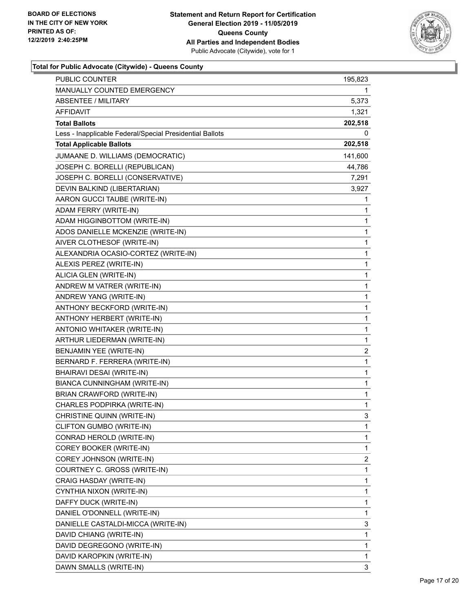

| MANUALLY COUNTED EMERGENCY<br>1<br><b>ABSENTEE / MILITARY</b><br>5,373<br>AFFIDAVIT<br>1,321<br><b>Total Ballots</b><br>202,518<br>Less - Inapplicable Federal/Special Presidential Ballots<br>0<br><b>Total Applicable Ballots</b><br>202,518<br>JUMAANE D. WILLIAMS (DEMOCRATIC)<br>141,600<br>JOSEPH C. BORELLI (REPUBLICAN)<br>44,786<br>JOSEPH C. BORELLI (CONSERVATIVE)<br>7,291<br>DEVIN BALKIND (LIBERTARIAN)<br>3,927<br>AARON GUCCI TAUBE (WRITE-IN)<br>1<br>ADAM FERRY (WRITE-IN)<br>1<br>ADAM HIGGINBOTTOM (WRITE-IN)<br>1<br>ADOS DANIELLE MCKENZIE (WRITE-IN)<br>1<br>1<br>AIVER CLOTHESOF (WRITE-IN)<br>ALEXANDRIA OCASIO-CORTEZ (WRITE-IN)<br>1<br>ALEXIS PEREZ (WRITE-IN)<br>1<br>ALICIA GLEN (WRITE-IN)<br>1<br>ANDREW M VATRER (WRITE-IN)<br>1<br>ANDREW YANG (WRITE-IN)<br>1<br>1<br>ANTHONY BECKFORD (WRITE-IN)<br>ANTHONY HERBERT (WRITE-IN)<br>1<br>ANTONIO WHITAKER (WRITE-IN)<br>1<br>1<br>ARTHUR LIEDERMAN (WRITE-IN)<br>$\overline{c}$<br>BENJAMIN YEE (WRITE-IN)<br>BERNARD F. FERRERA (WRITE-IN)<br>1<br>1<br>BHAIRAVI DESAI (WRITE-IN)<br>BIANCA CUNNINGHAM (WRITE-IN)<br>1<br>BRIAN CRAWFORD (WRITE-IN)<br>1<br>CHARLES PODPIRKA (WRITE-IN)<br>1<br>CHRISTINE QUINN (WRITE-IN)<br>3<br>CLIFTON GUMBO (WRITE-IN)<br>1<br>CONRAD HEROLD (WRITE-IN)<br>1<br>COREY BOOKER (WRITE-IN)<br>1<br>COREY JOHNSON (WRITE-IN)<br>2<br>COURTNEY C. GROSS (WRITE-IN)<br>1<br>CRAIG HASDAY (WRITE-IN)<br>1<br>CYNTHIA NIXON (WRITE-IN)<br>1<br>DAFFY DUCK (WRITE-IN)<br>1<br>DANIEL O'DONNELL (WRITE-IN)<br>1 | <b>PUBLIC COUNTER</b> | 195,823 |
|-------------------------------------------------------------------------------------------------------------------------------------------------------------------------------------------------------------------------------------------------------------------------------------------------------------------------------------------------------------------------------------------------------------------------------------------------------------------------------------------------------------------------------------------------------------------------------------------------------------------------------------------------------------------------------------------------------------------------------------------------------------------------------------------------------------------------------------------------------------------------------------------------------------------------------------------------------------------------------------------------------------------------------------------------------------------------------------------------------------------------------------------------------------------------------------------------------------------------------------------------------------------------------------------------------------------------------------------------------------------------------------------------------------------------------------------------------------------------------------------------------------------------------|-----------------------|---------|
|                                                                                                                                                                                                                                                                                                                                                                                                                                                                                                                                                                                                                                                                                                                                                                                                                                                                                                                                                                                                                                                                                                                                                                                                                                                                                                                                                                                                                                                                                                                               |                       |         |
|                                                                                                                                                                                                                                                                                                                                                                                                                                                                                                                                                                                                                                                                                                                                                                                                                                                                                                                                                                                                                                                                                                                                                                                                                                                                                                                                                                                                                                                                                                                               |                       |         |
|                                                                                                                                                                                                                                                                                                                                                                                                                                                                                                                                                                                                                                                                                                                                                                                                                                                                                                                                                                                                                                                                                                                                                                                                                                                                                                                                                                                                                                                                                                                               |                       |         |
|                                                                                                                                                                                                                                                                                                                                                                                                                                                                                                                                                                                                                                                                                                                                                                                                                                                                                                                                                                                                                                                                                                                                                                                                                                                                                                                                                                                                                                                                                                                               |                       |         |
|                                                                                                                                                                                                                                                                                                                                                                                                                                                                                                                                                                                                                                                                                                                                                                                                                                                                                                                                                                                                                                                                                                                                                                                                                                                                                                                                                                                                                                                                                                                               |                       |         |
|                                                                                                                                                                                                                                                                                                                                                                                                                                                                                                                                                                                                                                                                                                                                                                                                                                                                                                                                                                                                                                                                                                                                                                                                                                                                                                                                                                                                                                                                                                                               |                       |         |
|                                                                                                                                                                                                                                                                                                                                                                                                                                                                                                                                                                                                                                                                                                                                                                                                                                                                                                                                                                                                                                                                                                                                                                                                                                                                                                                                                                                                                                                                                                                               |                       |         |
|                                                                                                                                                                                                                                                                                                                                                                                                                                                                                                                                                                                                                                                                                                                                                                                                                                                                                                                                                                                                                                                                                                                                                                                                                                                                                                                                                                                                                                                                                                                               |                       |         |
|                                                                                                                                                                                                                                                                                                                                                                                                                                                                                                                                                                                                                                                                                                                                                                                                                                                                                                                                                                                                                                                                                                                                                                                                                                                                                                                                                                                                                                                                                                                               |                       |         |
|                                                                                                                                                                                                                                                                                                                                                                                                                                                                                                                                                                                                                                                                                                                                                                                                                                                                                                                                                                                                                                                                                                                                                                                                                                                                                                                                                                                                                                                                                                                               |                       |         |
|                                                                                                                                                                                                                                                                                                                                                                                                                                                                                                                                                                                                                                                                                                                                                                                                                                                                                                                                                                                                                                                                                                                                                                                                                                                                                                                                                                                                                                                                                                                               |                       |         |
|                                                                                                                                                                                                                                                                                                                                                                                                                                                                                                                                                                                                                                                                                                                                                                                                                                                                                                                                                                                                                                                                                                                                                                                                                                                                                                                                                                                                                                                                                                                               |                       |         |
|                                                                                                                                                                                                                                                                                                                                                                                                                                                                                                                                                                                                                                                                                                                                                                                                                                                                                                                                                                                                                                                                                                                                                                                                                                                                                                                                                                                                                                                                                                                               |                       |         |
|                                                                                                                                                                                                                                                                                                                                                                                                                                                                                                                                                                                                                                                                                                                                                                                                                                                                                                                                                                                                                                                                                                                                                                                                                                                                                                                                                                                                                                                                                                                               |                       |         |
|                                                                                                                                                                                                                                                                                                                                                                                                                                                                                                                                                                                                                                                                                                                                                                                                                                                                                                                                                                                                                                                                                                                                                                                                                                                                                                                                                                                                                                                                                                                               |                       |         |
|                                                                                                                                                                                                                                                                                                                                                                                                                                                                                                                                                                                                                                                                                                                                                                                                                                                                                                                                                                                                                                                                                                                                                                                                                                                                                                                                                                                                                                                                                                                               |                       |         |
|                                                                                                                                                                                                                                                                                                                                                                                                                                                                                                                                                                                                                                                                                                                                                                                                                                                                                                                                                                                                                                                                                                                                                                                                                                                                                                                                                                                                                                                                                                                               |                       |         |
|                                                                                                                                                                                                                                                                                                                                                                                                                                                                                                                                                                                                                                                                                                                                                                                                                                                                                                                                                                                                                                                                                                                                                                                                                                                                                                                                                                                                                                                                                                                               |                       |         |
|                                                                                                                                                                                                                                                                                                                                                                                                                                                                                                                                                                                                                                                                                                                                                                                                                                                                                                                                                                                                                                                                                                                                                                                                                                                                                                                                                                                                                                                                                                                               |                       |         |
|                                                                                                                                                                                                                                                                                                                                                                                                                                                                                                                                                                                                                                                                                                                                                                                                                                                                                                                                                                                                                                                                                                                                                                                                                                                                                                                                                                                                                                                                                                                               |                       |         |
|                                                                                                                                                                                                                                                                                                                                                                                                                                                                                                                                                                                                                                                                                                                                                                                                                                                                                                                                                                                                                                                                                                                                                                                                                                                                                                                                                                                                                                                                                                                               |                       |         |
|                                                                                                                                                                                                                                                                                                                                                                                                                                                                                                                                                                                                                                                                                                                                                                                                                                                                                                                                                                                                                                                                                                                                                                                                                                                                                                                                                                                                                                                                                                                               |                       |         |
|                                                                                                                                                                                                                                                                                                                                                                                                                                                                                                                                                                                                                                                                                                                                                                                                                                                                                                                                                                                                                                                                                                                                                                                                                                                                                                                                                                                                                                                                                                                               |                       |         |
|                                                                                                                                                                                                                                                                                                                                                                                                                                                                                                                                                                                                                                                                                                                                                                                                                                                                                                                                                                                                                                                                                                                                                                                                                                                                                                                                                                                                                                                                                                                               |                       |         |
|                                                                                                                                                                                                                                                                                                                                                                                                                                                                                                                                                                                                                                                                                                                                                                                                                                                                                                                                                                                                                                                                                                                                                                                                                                                                                                                                                                                                                                                                                                                               |                       |         |
|                                                                                                                                                                                                                                                                                                                                                                                                                                                                                                                                                                                                                                                                                                                                                                                                                                                                                                                                                                                                                                                                                                                                                                                                                                                                                                                                                                                                                                                                                                                               |                       |         |
|                                                                                                                                                                                                                                                                                                                                                                                                                                                                                                                                                                                                                                                                                                                                                                                                                                                                                                                                                                                                                                                                                                                                                                                                                                                                                                                                                                                                                                                                                                                               |                       |         |
|                                                                                                                                                                                                                                                                                                                                                                                                                                                                                                                                                                                                                                                                                                                                                                                                                                                                                                                                                                                                                                                                                                                                                                                                                                                                                                                                                                                                                                                                                                                               |                       |         |
|                                                                                                                                                                                                                                                                                                                                                                                                                                                                                                                                                                                                                                                                                                                                                                                                                                                                                                                                                                                                                                                                                                                                                                                                                                                                                                                                                                                                                                                                                                                               |                       |         |
|                                                                                                                                                                                                                                                                                                                                                                                                                                                                                                                                                                                                                                                                                                                                                                                                                                                                                                                                                                                                                                                                                                                                                                                                                                                                                                                                                                                                                                                                                                                               |                       |         |
|                                                                                                                                                                                                                                                                                                                                                                                                                                                                                                                                                                                                                                                                                                                                                                                                                                                                                                                                                                                                                                                                                                                                                                                                                                                                                                                                                                                                                                                                                                                               |                       |         |
|                                                                                                                                                                                                                                                                                                                                                                                                                                                                                                                                                                                                                                                                                                                                                                                                                                                                                                                                                                                                                                                                                                                                                                                                                                                                                                                                                                                                                                                                                                                               |                       |         |
|                                                                                                                                                                                                                                                                                                                                                                                                                                                                                                                                                                                                                                                                                                                                                                                                                                                                                                                                                                                                                                                                                                                                                                                                                                                                                                                                                                                                                                                                                                                               |                       |         |
|                                                                                                                                                                                                                                                                                                                                                                                                                                                                                                                                                                                                                                                                                                                                                                                                                                                                                                                                                                                                                                                                                                                                                                                                                                                                                                                                                                                                                                                                                                                               |                       |         |
|                                                                                                                                                                                                                                                                                                                                                                                                                                                                                                                                                                                                                                                                                                                                                                                                                                                                                                                                                                                                                                                                                                                                                                                                                                                                                                                                                                                                                                                                                                                               |                       |         |
|                                                                                                                                                                                                                                                                                                                                                                                                                                                                                                                                                                                                                                                                                                                                                                                                                                                                                                                                                                                                                                                                                                                                                                                                                                                                                                                                                                                                                                                                                                                               |                       |         |
|                                                                                                                                                                                                                                                                                                                                                                                                                                                                                                                                                                                                                                                                                                                                                                                                                                                                                                                                                                                                                                                                                                                                                                                                                                                                                                                                                                                                                                                                                                                               |                       |         |
|                                                                                                                                                                                                                                                                                                                                                                                                                                                                                                                                                                                                                                                                                                                                                                                                                                                                                                                                                                                                                                                                                                                                                                                                                                                                                                                                                                                                                                                                                                                               |                       |         |
|                                                                                                                                                                                                                                                                                                                                                                                                                                                                                                                                                                                                                                                                                                                                                                                                                                                                                                                                                                                                                                                                                                                                                                                                                                                                                                                                                                                                                                                                                                                               |                       |         |
|                                                                                                                                                                                                                                                                                                                                                                                                                                                                                                                                                                                                                                                                                                                                                                                                                                                                                                                                                                                                                                                                                                                                                                                                                                                                                                                                                                                                                                                                                                                               |                       |         |
| DANIELLE CASTALDI-MICCA (WRITE-IN)<br>3                                                                                                                                                                                                                                                                                                                                                                                                                                                                                                                                                                                                                                                                                                                                                                                                                                                                                                                                                                                                                                                                                                                                                                                                                                                                                                                                                                                                                                                                                       |                       |         |
| DAVID CHIANG (WRITE-IN)<br>1                                                                                                                                                                                                                                                                                                                                                                                                                                                                                                                                                                                                                                                                                                                                                                                                                                                                                                                                                                                                                                                                                                                                                                                                                                                                                                                                                                                                                                                                                                  |                       |         |
| DAVID DEGREGONO (WRITE-IN)<br>1                                                                                                                                                                                                                                                                                                                                                                                                                                                                                                                                                                                                                                                                                                                                                                                                                                                                                                                                                                                                                                                                                                                                                                                                                                                                                                                                                                                                                                                                                               |                       |         |
| DAVID KAROPKIN (WRITE-IN)<br>1                                                                                                                                                                                                                                                                                                                                                                                                                                                                                                                                                                                                                                                                                                                                                                                                                                                                                                                                                                                                                                                                                                                                                                                                                                                                                                                                                                                                                                                                                                |                       |         |
| DAWN SMALLS (WRITE-IN)<br>3                                                                                                                                                                                                                                                                                                                                                                                                                                                                                                                                                                                                                                                                                                                                                                                                                                                                                                                                                                                                                                                                                                                                                                                                                                                                                                                                                                                                                                                                                                   |                       |         |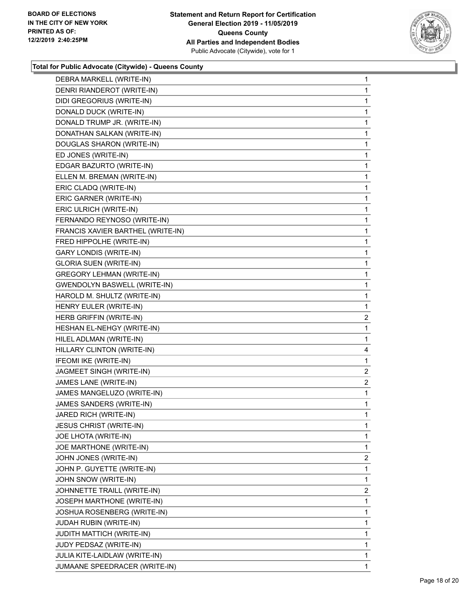

| DEBRA MARKELL (WRITE-IN)          | $\mathbf{1}$   |
|-----------------------------------|----------------|
| DENRI RIANDEROT (WRITE-IN)        | 1              |
| DIDI GREGORIUS (WRITE-IN)         | 1              |
| DONALD DUCK (WRITE-IN)            | 1              |
| DONALD TRUMP JR. (WRITE-IN)       | 1              |
| DONATHAN SALKAN (WRITE-IN)        | 1              |
| DOUGLAS SHARON (WRITE-IN)         | 1              |
| ED JONES (WRITE-IN)               | 1              |
| EDGAR BAZURTO (WRITE-IN)          | 1              |
| ELLEN M. BREMAN (WRITE-IN)        | 1              |
| ERIC CLADQ (WRITE-IN)             | 1              |
| ERIC GARNER (WRITE-IN)            | 1              |
| ERIC ULRICH (WRITE-IN)            | 1              |
| FERNANDO REYNOSO (WRITE-IN)       | 1              |
| FRANCIS XAVIER BARTHEL (WRITE-IN) | 1              |
| FRED HIPPOLHE (WRITE-IN)          | 1              |
| <b>GARY LONDIS (WRITE-IN)</b>     | 1              |
| <b>GLORIA SUEN (WRITE-IN)</b>     | 1              |
| <b>GREGORY LEHMAN (WRITE-IN)</b>  | 1              |
| GWENDOLYN BASWELL (WRITE-IN)      | 1              |
| HAROLD M. SHULTZ (WRITE-IN)       | 1              |
| HENRY EULER (WRITE-IN)            | 1              |
| HERB GRIFFIN (WRITE-IN)           | $\overline{2}$ |
|                                   |                |
| HESHAN EL-NEHGY (WRITE-IN)        | 1              |
| HILEL ADLMAN (WRITE-IN)           | 1              |
| HILLARY CLINTON (WRITE-IN)        | 4              |
| IFEOMI IKE (WRITE-IN)             | 1              |
| JAGMEET SINGH (WRITE-IN)          | $\overline{2}$ |
| JAMES LANE (WRITE-IN)             | $\overline{2}$ |
| JAMES MANGELUZO (WRITE-IN)        | 1              |
| JAMES SANDERS (WRITE-IN)          | 1              |
| JARED RICH (WRITE-IN)             | 1              |
| <b>JESUS CHRIST (WRITE-IN)</b>    | 1              |
| JOE LHOTA (WRITE-IN)              | 1              |
| JOE MARTHONE (WRITE-IN)           | 1              |
| JOHN JONES (WRITE-IN)             | 2              |
| JOHN P. GUYETTE (WRITE-IN)        | 1              |
| JOHN SNOW (WRITE-IN)              | 1              |
| JOHNNETTE TRAILL (WRITE-IN)       | 2              |
| JOSEPH MARTHONE (WRITE-IN)        | 1              |
| JOSHUA ROSENBERG (WRITE-IN)       | 1              |
| JUDAH RUBIN (WRITE-IN)            | 1              |
| <b>JUDITH MATTICH (WRITE-IN)</b>  | 1              |
| JUDY PEDSAZ (WRITE-IN)            | 1              |
| JULIA KITE-LAIDLAW (WRITE-IN)     | 1              |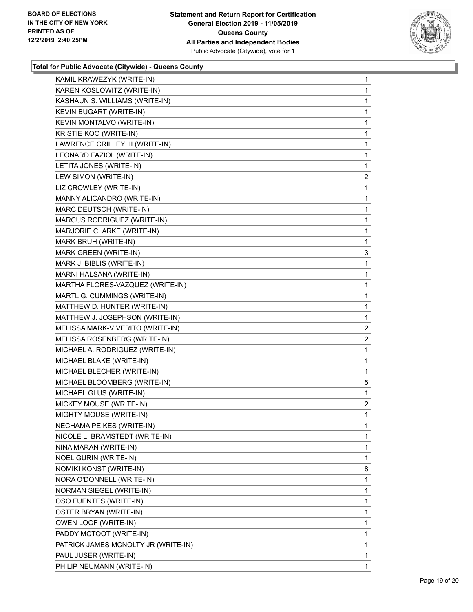

| KAMIL KRAWEZYK (WRITE-IN)           | 1              |
|-------------------------------------|----------------|
| KAREN KOSLOWITZ (WRITE-IN)          | 1              |
| KASHAUN S. WILLIAMS (WRITE-IN)      | 1              |
| KEVIN BUGART (WRITE-IN)             | 1              |
| KEVIN MONTALVO (WRITE-IN)           | 1              |
| KRISTIE KOO (WRITE-IN)              | 1              |
| LAWRENCE CRILLEY III (WRITE-IN)     | 1              |
| LEONARD FAZIOL (WRITE-IN)           | 1              |
| LETITA JONES (WRITE-IN)             | 1              |
| LEW SIMON (WRITE-IN)                | 2              |
| LIZ CROWLEY (WRITE-IN)              | 1              |
| MANNY ALICANDRO (WRITE-IN)          | 1              |
| MARC DEUTSCH (WRITE-IN)             | 1              |
| MARCUS RODRIGUEZ (WRITE-IN)         | 1              |
| MARJORIE CLARKE (WRITE-IN)          | $\mathbf 1$    |
| MARK BRUH (WRITE-IN)                | 1              |
| MARK GREEN (WRITE-IN)               | 3              |
| MARK J. BIBLIS (WRITE-IN)           | 1              |
| MARNI HALSANA (WRITE-IN)            | 1              |
| MARTHA FLORES-VAZQUEZ (WRITE-IN)    | 1              |
| MARTL G. CUMMINGS (WRITE-IN)        | $\mathbf{1}$   |
| MATTHEW D. HUNTER (WRITE-IN)        | 1              |
| MATTHEW J. JOSEPHSON (WRITE-IN)     | 1              |
| MELISSA MARK-VIVERITO (WRITE-IN)    | $\overline{2}$ |
| MELISSA ROSENBERG (WRITE-IN)        | 2              |
| MICHAEL A. RODRIGUEZ (WRITE-IN)     | 1              |
| MICHAEL BLAKE (WRITE-IN)            | $\mathbf{1}$   |
| MICHAEL BLECHER (WRITE-IN)          | 1              |
| MICHAEL BLOOMBERG (WRITE-IN)        | 5              |
| MICHAEL GLUS (WRITE-IN)             | $\mathbf{1}$   |
| MICKEY MOUSE (WRITE-IN)             | $\overline{2}$ |
| MIGHTY MOUSE (WRITE-IN)             | 1              |
| NECHAMA PEIKES (WRITE-IN)           | 1              |
| NICOLE L. BRAMSTEDT (WRITE-IN)      | 1              |
| NINA MARAN (WRITE-IN)               | 1              |
| NOEL GURIN (WRITE-IN)               | 1              |
| NOMIKI KONST (WRITE-IN)             | 8              |
| NORA O'DONNELL (WRITE-IN)           | 1              |
| NORMAN SIEGEL (WRITE-IN)            | 1              |
| OSO FUENTES (WRITE-IN)              | 1              |
| OSTER BRYAN (WRITE-IN)              | 1              |
| OWEN LOOF (WRITE-IN)                | 1              |
| PADDY MCTOOT (WRITE-IN)             | 1              |
| PATRICK JAMES MCNOLTY JR (WRITE-IN) | 1              |
| PAUL JUSER (WRITE-IN)               | 1              |
| PHILIP NEUMANN (WRITE-IN)           | 1              |